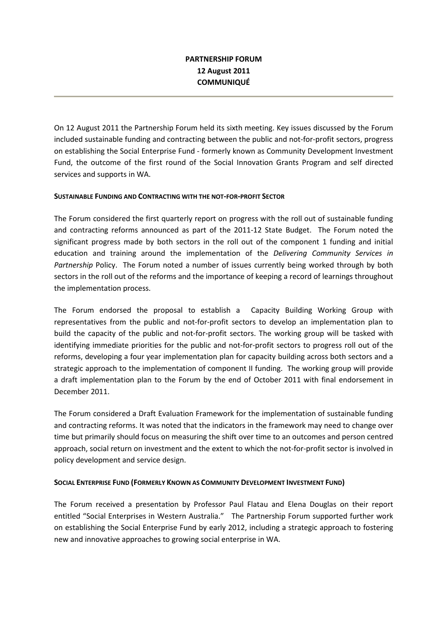## PARTNERSHIP FORUM 12 August 2011 **COMMUNIQUÉ**

On 12 August 2011 the Partnership Forum held its sixth meeting. Key issues discussed by the Forum included sustainable funding and contracting between the public and not-for-profit sectors, progress on establishing the Social Enterprise Fund - formerly known as Community Development Investment Fund, the outcome of the first round of the Social Innovation Grants Program and self directed services and supports in WA.

### SUSTAINABLE FUNDING AND CONTRACTING WITH THE NOT-FOR-PROFIT SECTOR

The Forum considered the first quarterly report on progress with the roll out of sustainable funding and contracting reforms announced as part of the 2011-12 State Budget. The Forum noted the significant progress made by both sectors in the roll out of the component 1 funding and initial education and training around the implementation of the Delivering Community Services in Partnership Policy. The Forum noted a number of issues currently being worked through by both sectors in the roll out of the reforms and the importance of keeping a record of learnings throughout the implementation process.

The Forum endorsed the proposal to establish a Capacity Building Working Group with representatives from the public and not-for-profit sectors to develop an implementation plan to build the capacity of the public and not-for-profit sectors. The working group will be tasked with identifying immediate priorities for the public and not-for-profit sectors to progress roll out of the reforms, developing a four year implementation plan for capacity building across both sectors and a strategic approach to the implementation of component II funding. The working group will provide a draft implementation plan to the Forum by the end of October 2011 with final endorsement in December 2011.

The Forum considered a Draft Evaluation Framework for the implementation of sustainable funding and contracting reforms. It was noted that the indicators in the framework may need to change over time but primarily should focus on measuring the shift over time to an outcomes and person centred approach, social return on investment and the extent to which the not-for-profit sector is involved in policy development and service design.

#### SOCIAL ENTERPRISE FUND (FORMERLY KNOWN AS COMMUNITY DEVELOPMENT INVESTMENT FUND)

The Forum received a presentation by Professor Paul Flatau and Elena Douglas on their report entitled "Social Enterprises in Western Australia." The Partnership Forum supported further work on establishing the Social Enterprise Fund by early 2012, including a strategic approach to fostering new and innovative approaches to growing social enterprise in WA.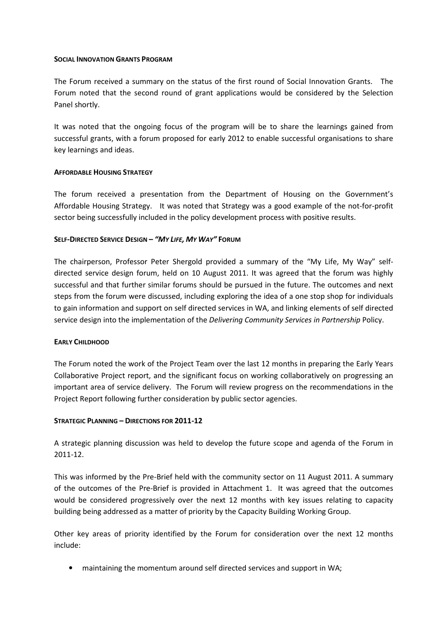#### SOCIAL INNOVATION GRANTS PROGRAM

The Forum received a summary on the status of the first round of Social Innovation Grants. The Forum noted that the second round of grant applications would be considered by the Selection Panel shortly.

It was noted that the ongoing focus of the program will be to share the learnings gained from successful grants, with a forum proposed for early 2012 to enable successful organisations to share key learnings and ideas.

#### AFFORDABLE HOUSING STRATEGY

The forum received a presentation from the Department of Housing on the Government's Affordable Housing Strategy. It was noted that Strategy was a good example of the not-for-profit sector being successfully included in the policy development process with positive results.

### SELF-DIRECTED SERVICE DESIGN – "MY LIFE, MY WAY" FORUM

The chairperson, Professor Peter Shergold provided a summary of the "My Life, My Way" selfdirected service design forum, held on 10 August 2011. It was agreed that the forum was highly successful and that further similar forums should be pursued in the future. The outcomes and next steps from the forum were discussed, including exploring the idea of a one stop shop for individuals to gain information and support on self directed services in WA, and linking elements of self directed service design into the implementation of the Delivering Community Services in Partnership Policy.

#### EARLY CHILDHOOD

The Forum noted the work of the Project Team over the last 12 months in preparing the Early Years Collaborative Project report, and the significant focus on working collaboratively on progressing an important area of service delivery. The Forum will review progress on the recommendations in the Project Report following further consideration by public sector agencies.

## STRATEGIC PLANNING – DIRECTIONS FOR 2011-12

A strategic planning discussion was held to develop the future scope and agenda of the Forum in 2011-12.

This was informed by the Pre-Brief held with the community sector on 11 August 2011. A summary of the outcomes of the Pre-Brief is provided in Attachment 1. It was agreed that the outcomes would be considered progressively over the next 12 months with key issues relating to capacity building being addressed as a matter of priority by the Capacity Building Working Group.

Other key areas of priority identified by the Forum for consideration over the next 12 months include:

• maintaining the momentum around self directed services and support in WA;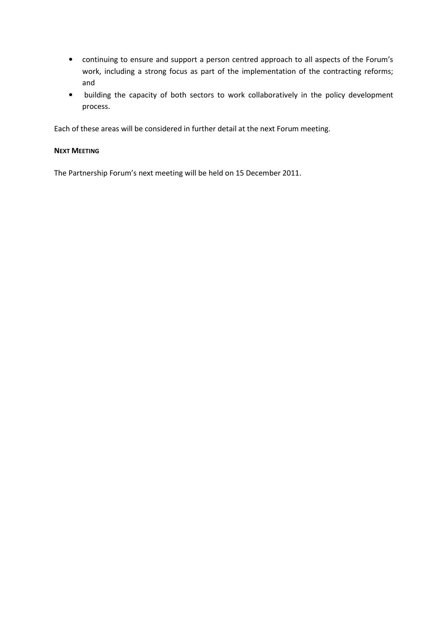- continuing to ensure and support a person centred approach to all aspects of the Forum's work, including a strong focus as part of the implementation of the contracting reforms; and
- building the capacity of both sectors to work collaboratively in the policy development process.

Each of these areas will be considered in further detail at the next Forum meeting.

### NEXT MEETING

The Partnership Forum's next meeting will be held on 15 December 2011.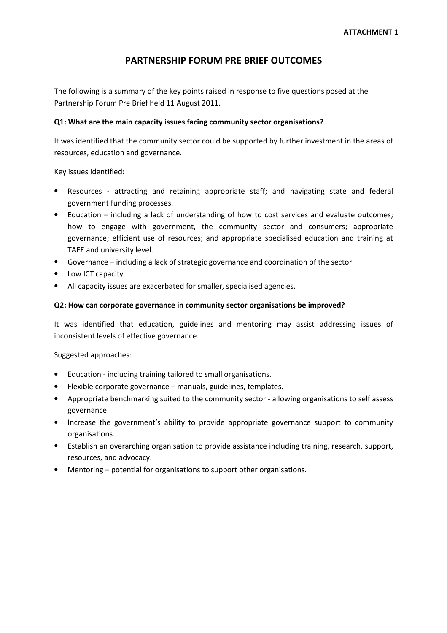# PARTNERSHIP FORUM PRE BRIEF OUTCOMES

The following is a summary of the key points raised in response to five questions posed at the Partnership Forum Pre Brief held 11 August 2011.

### Q1: What are the main capacity issues facing community sector organisations?

It was identified that the community sector could be supported by further investment in the areas of resources, education and governance.

Key issues identified:

- Resources attracting and retaining appropriate staff; and navigating state and federal government funding processes.
- Education including a lack of understanding of how to cost services and evaluate outcomes; how to engage with government, the community sector and consumers; appropriate governance; efficient use of resources; and appropriate specialised education and training at TAFE and university level.
- Governance including a lack of strategic governance and coordination of the sector.
- Low ICT capacity.
- All capacity issues are exacerbated for smaller, specialised agencies.

#### Q2: How can corporate governance in community sector organisations be improved?

It was identified that education, guidelines and mentoring may assist addressing issues of inconsistent levels of effective governance.

Suggested approaches:

- Education including training tailored to small organisations.
- Flexible corporate governance manuals, guidelines, templates.
- Appropriate benchmarking suited to the community sector allowing organisations to self assess governance.
- Increase the government's ability to provide appropriate governance support to community organisations.
- Establish an overarching organisation to provide assistance including training, research, support, resources, and advocacy.
- Mentoring potential for organisations to support other organisations.